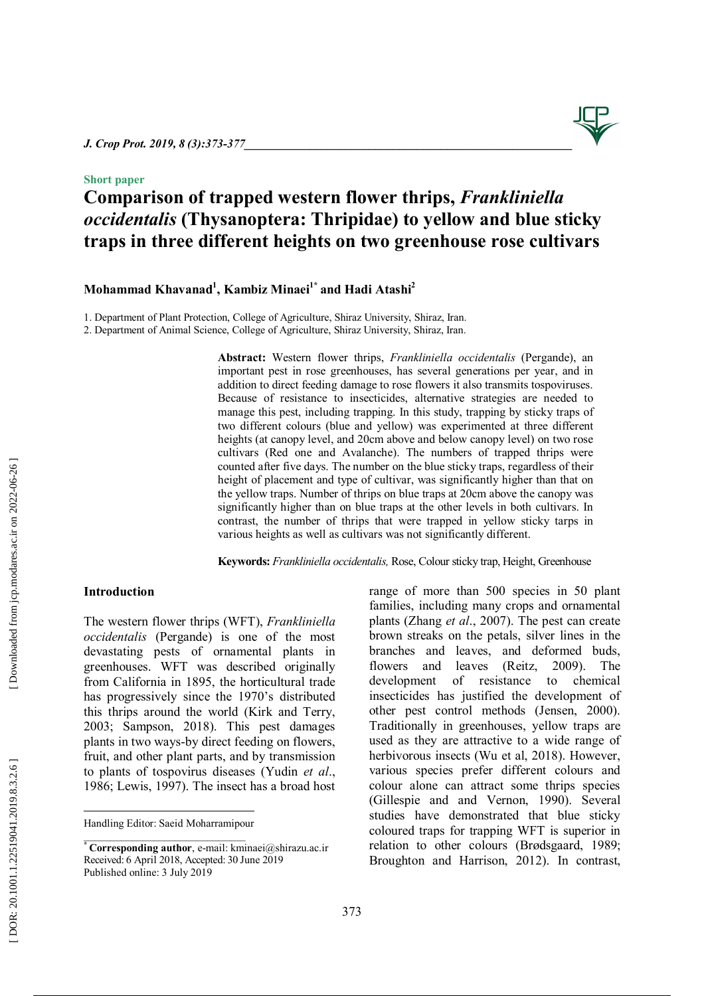## **Short paper**

## **Comparison of trapped western flower thrips,** *Frankliniella occidentalis* **(Thysanoptera: Thripidae ) to yellow and blue sticky traps in three different heights on two greenhouse rose cultivars**

**Mohammad Khavanad 1 , Kambiz Minaei1\* and Hadi Atashi 2**

1 . Department of Plant Protection, College of Agriculture, Shiraz University, Shiraz, Iran .

2 . Department of Animal Science, College of Agriculture, Shiraz University, Shiraz, Iran.

**Abstract:** Western flower thrips, *Frankliniella occidentalis* (Pergande), an important pest in rose greenhouses, has several generations per year, and in addition to direct feeding damage to rose flowers it also transmits tospoviruses. Because of resistance to insecticides , alternative strategies are needed to manage this pest, including trapping. In this study , trapping by sticky traps of two different colo urs (blue and yellow) was experimented at three different heights (at canopy level, and 20cm above and below canopy level) on two rose cultivars (Red one and Avalanche) . The numbers of trapped thrips were counted after five days. The number on the blue sticky traps, regardless of their height of placement and type of cultivar, was significantly higher than that on the yellow trap s. Number of thrips on blue traps at 20cm above the canopy was significantly higher than on blue traps at the other levels in both cultivars. In contrast, the number of thrips that were trapped in yellow sticky tarps in various heights as well as cultivars was not significantly different.

Keywords: Frankliniella occidentalis, Rose, Colour sticky trap, Height, Greenhouse

## **Introduction**

 $\overline{a}$ 

The western flower thrips (WFT), *Frankliniella occidentalis* (Pergande) is one of the most devastating pests of ornamental plants in greenhouses. WFT was described originally from California in 1895, the horticultural trade has progressively since the 1970's distributed this thrips around the world (Kirk and Terry , 2003; Sampson, 2018). This pest damages plants in two ways -by direct feeding on flowers, fruit, and other plant parts, and by transmission to plants of tospovirus diseases (Yudin *et al*., 1986 ; Lewis , 1997). The insect has a broad host range of more than 500 species in 50 plant families , including many crops and ornamental plants (Zhang *et al*., 2007). The pest can create brown streak s on the petals, silver lines in the branches and leaves, and deformed buds, flowers and leaves (Reitz , 2009). The development of resistance to chemical insecticides has justified the development of other pest control methods (Jensen , 200 0). Traditionally in greenhouses, yellow traps are used as they are attractive to a wide range of herbivorous insects (Wu et al, 2018). However, various species prefer different colours and colour alone can attract some thrips species (Gillespie and and Vernon, 1990). Several studies have demonstrated that blue sticky coloured traps for trapping WFT is superior in relation to other colours (Brødsgaard, 1989; Broughton and Harrison, 2012). In contrast,

DOR: 20.1001.1.22519041.2019.8.3.2.6

Handling Editor: Saeid Moharramipour \_\_\_\_\_\_\_\_\_\_\_\_\_\_\_\_\_\_\_\_\_\_\_\_\_\_\_\_\_\_

**<sup>\*</sup> Corresponding author**, e -mail: kminaei@shirazu.ac.ir Received: 6 April 2018, Accepted: 30 June 2019 Published online: 3 July 2019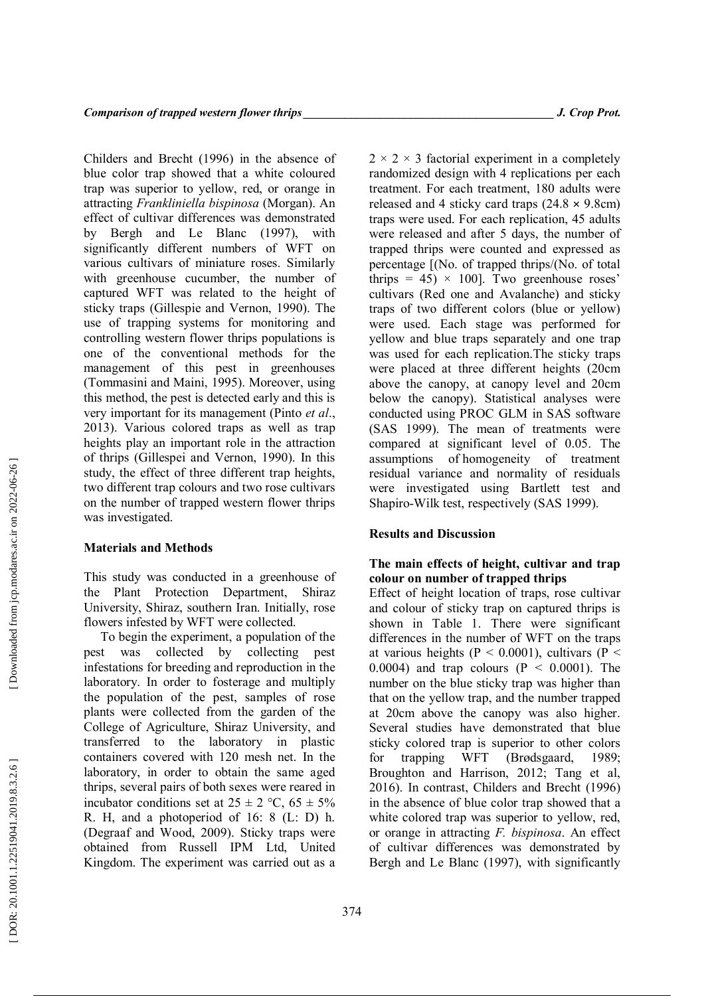Childers and Brecht (1996) in the absence of blue color trap showed that a white coloured trap was superior to yellow, red, or orange in attracting *Frankliniella bispinosa* (Morgan). An effect of cultivar differences was demonstrated by Bergh and Le Blanc (1997), with significantly different numbers of WFT on various cultivars of miniature roses. Similarly with greenhouse cucumber, the number of captured WFT was related to the height of sticky traps (Gillespie and Vernon, 1990). The use of trapping system s for monitoring and controlling western flower thrips population s is one of the conventional methods for the management of this pest in greenhouses (Tommasini and Maini , 1995). Moreover, using this method , the pest is detected early and this is very important for its management (Pinto *et al* . , 2013 ). Various colored traps as well as trap height s play an important role in the attraction of thrips (Gillespei and Vernon , 1990). In this study, the effect of three different trap heights, two different trap colours and two rose cultivars on the number of trapped western flower thrips was investigated.

## **Material s and Methods**

This study was conducted in a greenhouse of the Plant Protection Department, Shiraz University, Shiraz, southern Iran . Initially, rose flowers infested by WFT were collected .

To begin the experiment, a population of the pest was collected by collecting pest infestations for breeding and reproduction in the laboratory. In order to fosterage and multiply the population of the pest, samples of rose plants were collected from the garden of the College of Agriculture, Shiraz University, and transferred to the laboratory in plastic containers covered with 120 mesh net. In the laboratory, in order to obtain the same aged thrips, several pairs of both sexes were reared in incubator conditions set at  $25 \pm 2$  °C,  $65 \pm 5\%$ R. H, and a photoperiod of 16: 8 (L: D) h. (Degraaf and Wood , 2009 ). Sticky traps were obtained from Russell IPM Ltd, United Kingdom. The experiment was carried out as a

 $2 \times 2 \times 3$  factorial experiment in a completely randomized design with 4 replications per each treatment. For each treatment, 180 adults were released and 4 sticky card traps (24.8 × 9.8cm) traps were used. For each replication, 45 adults were released and after 5 days, the number of trapped thrips were counted and expressed as percentage [(No. of trapped thrips/(No. of total thrips  $= 45$ )  $\times$  100]. Two greenhouse roses' cultivars (Red one and Avalanche) and sticky traps of two different colors (blue or yellow) were used . Each stage was performed for yellow and blue traps separately and one trap was used for each replication .The sticky traps were placed at three different heights (20cm above the canopy, at canopy level and 20cm below the canopy). Statistical analyses were conducted using PROC GLM in SAS software (SAS 1999). The mean of treatments were compared at significant level of 0.05. The assumptions of homogeneity of treatment residual variance and normality of residual s were investigated using Bartlett test and Shapiro -Wilk test, respectively (SAS 1999).

#### **Results and Discussion**

## **The main effect s of height, cultivar and trap colo ur on number of trapped thrips**

Effect of height location of traps, rose cultivar and colour of sticky trap on captured thrips is shown in Table 1. There were significant differences in the number of WFT on the traps at various heights ( $P < 0.0001$ ), cultivars ( $P <$ 0.0004) and trap colours ( $P < 0.0001$ ). The number on the blue sticky trap was higher than that on the yellow trap , and the number trapped at 20cm above the canopy was also higher. Several studies have demonstrated that blue sticky colored trap is superior to other colors for trapping WFT (Brødsgaard, 1989; Broughton and Harrison, 2012; Tang et al, 2016). In contrast, Childers and Brecht (1996) in the absence of blue color trap showed that a white colored trap was superior to yellow, red, or orange in attracting *F. bispinosa*. An effect of cultivar differences was demonstrated by Bergh and Le Blanc (1997), with significantly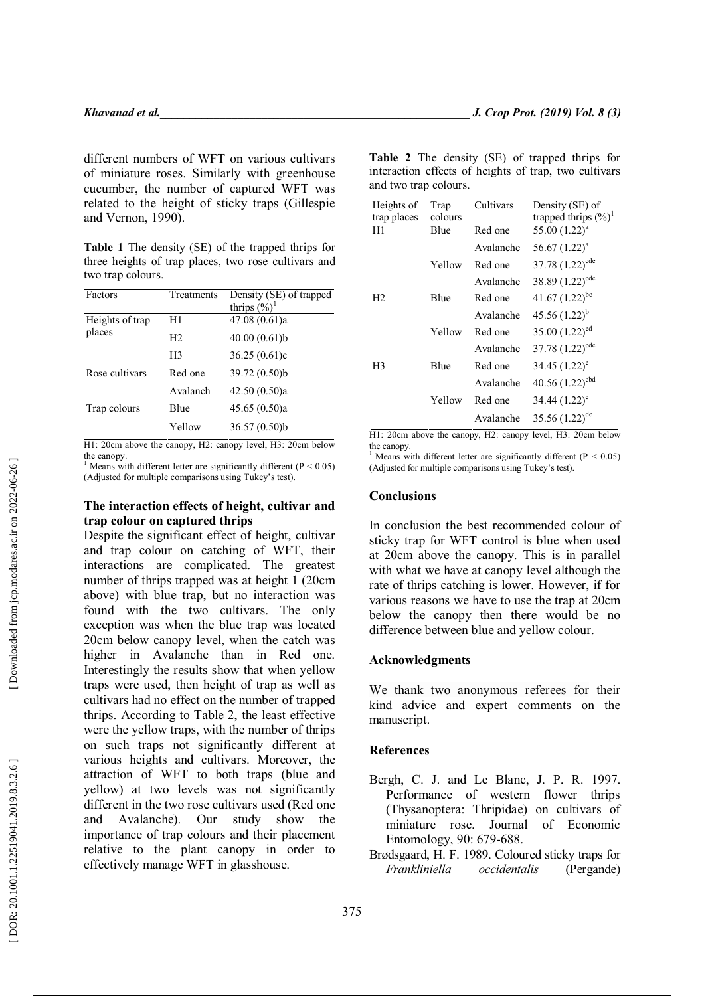different numbers of WFT on various cultivars of miniature roses. Similarly with greenhouse cucumber, the number of captured WFT was related to the height of sticky traps (Gillespie and Vernon, 1990).

**Table 1** The density (SE) of the trapped thrips for three heights of trap places, two rose cultivars and two trap colours.

| Factors                   | Treatments     | Density (SE) of trapped<br>thrips $(\%)^1$ |
|---------------------------|----------------|--------------------------------------------|
| Heights of trap<br>places | H1             | 47.08 (0.61)a                              |
|                           | H <sub>2</sub> | 40.00(0.61)                                |
|                           | H <sub>3</sub> | 36.25(0.61)c                               |
| Rose cultivars            | Red one        | 39.72 (0.50)b                              |
|                           | Avalanch       | 42.50(0.50)a                               |
| Trap colours              | Blue           | 45.65(0.50)a                               |
|                           | Yellow         | 36.57(0.50)b                               |

H1: 20cm above the canopy, H2: canopy level, H3: 20cm below the canopy.<br><sup>1</sup> Means with different letter are significantly different ( $P < 0.05$ )

(Adjusted for multiple comparisons using Tukey's test).

## **The interaction effects of height, cultivar and trap colo ur on captured thrips**

Despite the significant effect of height, cultivar and trap colo ur on catching of WFT, their interactions are complicated. The greatest number of thrips trapped was at height 1 (20cm above) with blue trap, but no interaction was found with the two cultivars. The only exception was when the blue trap was located 20cm below canopy level, when the catch was higher in Avalanche than in Red one . Interestingly the results show that when yellow trap s were used, then height of trap as well as cultivars had no effect on the number of trapped thrips. According to Table 2, the least effective were the yellow traps, with the number of thrips on such traps not significantly different at various heights and cultivars. Moreover, the attraction of WFT to both traps (blue and yellow) at two levels was not significantly different in the two rose cultivars used (Red one and Avalanche). Our study show the importance of trap colours and their placement relative to the plant canopy in order to effectively manage WFT in glasshouse.

**Table 2** The density (SE) of trapped thrips for interaction effects of heights of trap, two cultivars and two trap colours.

| Heights of     | Trap    | Cultivars | Density (SE) of                  |
|----------------|---------|-----------|----------------------------------|
| trap places    | colours |           | trapped thrips $(\frac{6}{6})^1$ |
| H1             | Blue    | Red one   | $55.00(1.22)^{a}$                |
|                |         | Avalanche | 56.67 $(1.22)^a$                 |
|                | Yellow  | Red one   | 37.78 $(1.22)^{cde}$             |
|                |         | Avalanche | 38.89 $(1.22)^{cde}$             |
| H <sub>2</sub> | Blue    | Red one   | 41.67 $(1.22)^{bc}$              |
|                |         | Avalanche | $45.56(1.22)^{b}$                |
|                | Yellow  | Red one   | 35.00 $(1.22)^{ed}$              |
|                |         | Avalanche | 37.78 $(1.22)^{cde}$             |
| H3             | Blue    | Red one   | 34.45 $(1.22)^e$                 |
|                |         | Avalanche | 40.56 $(1.22)^{cbd}$             |
|                | Yellow  | Red one   | $34.44 (1.22)^e$                 |
|                |         | Avalanche | 35.56 $(1.22)^{de}$              |

H1: 20cm above the canopy, H2: canopy level, H3: 20cm below the canopy.<br><sup>1</sup> Means with different letter are significantly different ( $P < 0.05$ )

(Adjusted for multiple comparisons using Tukey's test).

#### **Conclusions**

In conclusion the best recommended colo ur of sticky trap for WFT control is blue when used at 20cm above the canopy. This is in parallel with what we have at canopy level although the rate of thrips catching is lower. However, if for various reasons we have to use the trap at 20cm below the canopy then there would be no difference between blu e and yellow colo ur.

#### **Acknowledgment s**

We thank two anonymous referees for their kind advice and expert comments on the manuscript.

## **References**

- Bergh , C. J . and Le Blanc , J. P. R. 1997. Performance of western flower thrips (Thysanoptera: Thripidae) on cultivars of miniature rose. Journal of Economic Entomology, 90: 679-688.
- Brødsgaard , H. F . 1989. Coloured sticky traps for *Frankliniella occidentalis* (Pergande)

Downloaded from jcp.modares.ac.ir on 2022-06-26]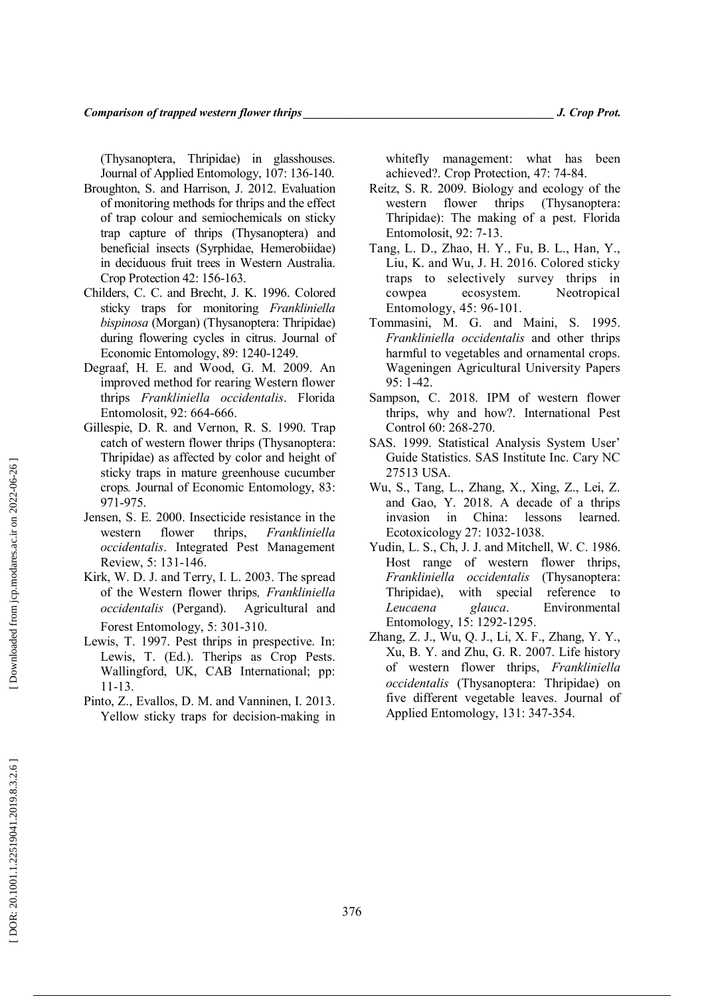(Thysanoptera, Thripidae) in glasshouses. Journal of Applied Entomology, 107: 136-140.

- Broughton , S. and Harrison , J. 2012. Evaluation of monitoring methods for thrips and the effect of trap colour and semiochemicals on sticky trap capture of thrips (Thysanoptera) and beneficial insects (Syrphidae, Hemerobiidae) in deciduous fruit trees in Western Australia. Crop Protection 42 : 156 -163.
- Childers , C. C. and Brecht , J. K . 1996. Colored sticky traps for monitoring *Frankliniella bispinosa* (Morgan) (Thysanoptera: Thripidae) during flowering cycles in citrus. Journal of Economic Entomology, 89: 1240-1249.
- Degraaf, H. E. and Wood , G. M. 2009. An improved method for rearing Western flower thrips *Frankliniella occidentalis*. Florida Entomolosit , 92 : 664 -666.
- Gillespie , D. R. and Vernon , R. S. 1990. Trap catch of western flower thrips (Thysanoptera: Thripidae) as affected by color and height of sticky traps in mature greenhouse cucumber crops*.* Journal of Economic Entomology , 83 : 971 -975.
- Jensen , S. E . 2000. Insecticide resistance in the western flower thrips, *Frankliniella occidentalis*. Integrated Pest Management Review, 5 : 131 -146.
- Kirk, W. D. J. and Terry , I. L. 2003. The spread of the Western flower thrips*, Frankliniella occidentalis* (Pergand). Agricultural and Forest Entomology, 5 : 301 -310.
- Lewis , T. 1997. Pest thrips in prespective. In : Lewis , T . (Ed.). Therips as Crop Pests. Wallingford, UK, CAB International; pp: 11 -13.
- Pinto, Z., Evallos, D. M. and Vanninen, I. 2013. Yellow sticky traps for decision -making in

whitefly management: what has been achieved?. Crop Protection, 47 : 74 -84.

- Reitz , S. R. 2009. Biology and ecology of the western flower thrips (Thysanoptera: Thripidae): The making of a pest. Florida Entomolosit, 92 : 7 -13.
- Tang, L. D., Zhao, H. Y., Fu, B. L., Han, Y., Liu, K. and Wu, J. H. 2016. Colored sticky traps to selectively survey thrips in cowpea ecosystem. Neotropical Entomology , 45 : 96 -101.
- Tommasini , M. G. and Maini , S. 1995. *Frankliniella occidentalis* and other thrips harmful to vegetables and ornamental crops. Wageningen Agricultural University Papers 95: 1 -42.
- Sampson, C. 2018. IPM of western flower thrips, why and how?. International Pest Control 60 : 268 -270.
- SAS. 1999. Statistical Analysis System User' Guide Statistics. SAS Institute Inc. Cary NC 27513 USA.
- Wu, S., Tang, L., Zhang, X., Xing, Z., Lei, Z. and Gao, Y. 2018. A decade of a thrips invasion in China: lessons learned. Ecotoxicology 27 : 1032 -1038.
- Yudin, L. S., Ch, J. J. and Mitchell, W. C. 1986. Host range of western flower thrips, *Frankliniella occidentalis* (Thysanoptera: Thripidae), with special reference to *Leucaena glauca*. Environmental Entomology , 15 : 1292 -1295.
- Zhang, Z. J., Wu, Q. J., Li, X. F., Zhang, Y. Y., Xu , B. Y. and Zhu , G. R. 2007. Life history of western flower thrips, *Frankliniella occidentalis* (Thysanoptera Thripidae) on five different vegetable leaves. Journal of Applied Entomology, 131 : 347 -354.